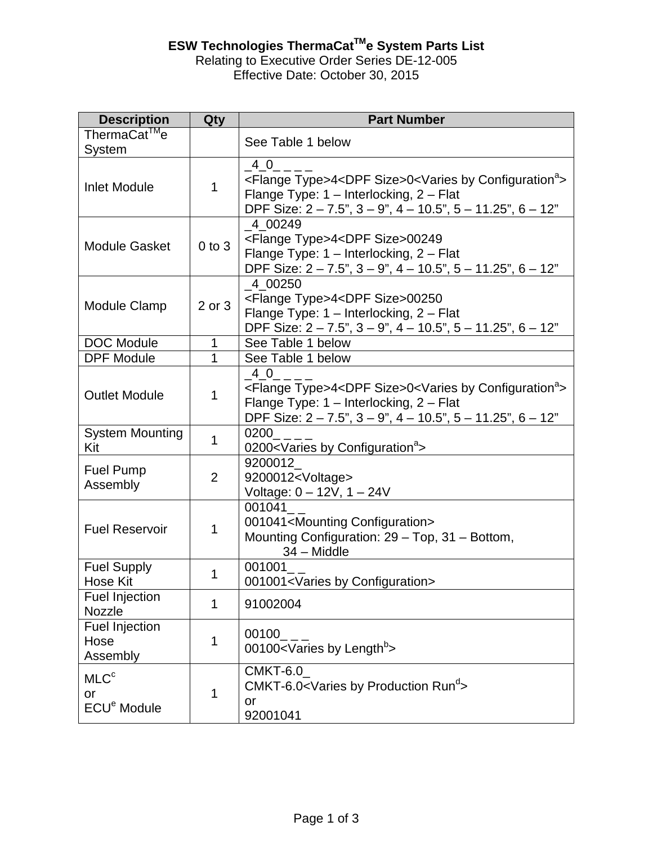## **ESW Technologies ThermaCatTMe System Parts List**

## Relating to Executive Order Series DE-12-005 Effective Date: October 30, 2015

| <b>Description</b>                                | Qty            | <b>Part Number</b>                                                                                                                                                                                                                                                                      |  |  |  |
|---------------------------------------------------|----------------|-----------------------------------------------------------------------------------------------------------------------------------------------------------------------------------------------------------------------------------------------------------------------------------------|--|--|--|
| ThermaCat <sup>™</sup> e<br>System                |                | See Table 1 below                                                                                                                                                                                                                                                                       |  |  |  |
| <b>Inlet Module</b>                               | 1              | $\_4\_0$<br><flange type="">4<dpf size="">0<varies by="" configuration<sup="">a&gt;<br/>Flange Type: 1 - Interlocking, 2 - Flat<br/>DPF Size: <math>2 - 7.5</math>", <math>3 - 9</math>", <math>4 - 10.5</math>", <math>5 - 11.25</math>", <math>6 - 12</math>"</varies></dpf></flange> |  |  |  |
| <b>Module Gasket</b>                              | $0$ to $3$     | 4 00249<br><flange type="">4<dpf size="">00249<br/>Flange Type: 1 - Interlocking, 2 - Flat<br/>DPF Size: 2 - 7.5", 3 - 9", 4 - 10.5", 5 - 11.25", 6 - 12"</dpf></flange>                                                                                                                |  |  |  |
| Module Clamp                                      | 2 or 3         | 4 00250<br><flange type="">4<dpf size="">00250<br/>Flange Type: 1 - Interlocking, 2 - Flat<br/>DPF Size: 2 - 7.5", 3 - 9", 4 - 10.5", 5 - 11.25", 6 - 12"</dpf></flange>                                                                                                                |  |  |  |
| <b>DOC Module</b>                                 | 1              | See Table 1 below                                                                                                                                                                                                                                                                       |  |  |  |
| <b>DPF Module</b>                                 | 1              | See Table 1 below                                                                                                                                                                                                                                                                       |  |  |  |
| <b>Outlet Module</b>                              | 1              | 40<br><flange type="">4<dpf size="">0<varies by="" configuration<sup="">a&gt;<br/>Flange Type: 1 - Interlocking, 2 - Flat<br/>DPF Size: 2 - 7.5", 3 - 9", 4 - 10.5", 5 - 11.25", 6 - 12"</varies></dpf></flange>                                                                        |  |  |  |
| <b>System Mounting</b><br>Kit                     | 1              | 0200<br>0200 <varies by="" configuration<sup="">a</varies>                                                                                                                                                                                                                              |  |  |  |
| <b>Fuel Pump</b><br>Assembly                      | $\overline{2}$ | 9200012<br>9200012 <voltage><br/>Voltage: 0 - 12V, 1 - 24V</voltage>                                                                                                                                                                                                                    |  |  |  |
| <b>Fuel Reservoir</b>                             | 1              | 001041<br>001041 <mounting configuration=""><br/>Mounting Configuration: 29 - Top, 31 - Bottom,<br/><math>34 - Middle</math></mounting>                                                                                                                                                 |  |  |  |
| <b>Fuel Supply</b><br><b>Hose Kit</b>             | 1              | 001001<br>001001 <varies by="" configuration=""></varies>                                                                                                                                                                                                                               |  |  |  |
| <b>Fuel Injection</b><br>Nozzle                   | 1              | 91002004                                                                                                                                                                                                                                                                                |  |  |  |
| <b>Fuel Injection</b><br>Hose<br>Assembly         | 1              | 00100<br>00100 <varies by="" length<sup="">b&gt;</varies>                                                                                                                                                                                                                               |  |  |  |
| MLC <sup>c</sup><br>or<br>ECU <sup>e</sup> Module | 1              | CMKT-6.0<br>CMKT-6.0 <varies by="" production="" run<sup="">d&gt;<br/>or<br/>92001041</varies>                                                                                                                                                                                          |  |  |  |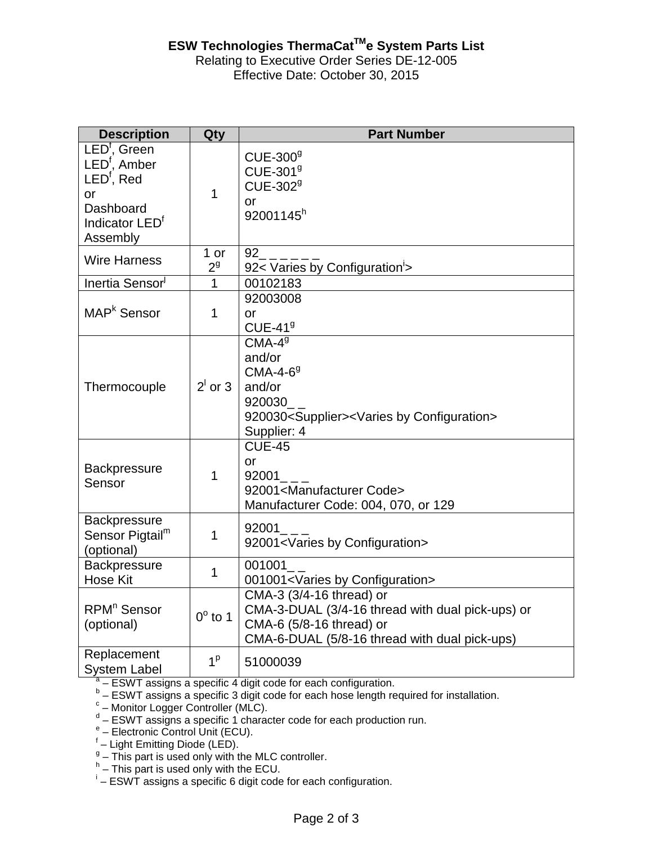## Relating to Executive Order Series DE-12-005 **ESW Technologies ThermaCat™e System Parts List**

Effective Date: October 30, 2015

| <b>Description</b>                                                                                                                                 | Qty                    | <b>Part Number</b>                                                                                                                                        |  |  |  |
|----------------------------------------------------------------------------------------------------------------------------------------------------|------------------------|-----------------------------------------------------------------------------------------------------------------------------------------------------------|--|--|--|
| LED <sup>t</sup> , Green<br>LED <sup>f</sup> , Amber<br>LED <sup>f</sup> , Red<br><b>or</b><br>Dashboard<br>Indicator LED <sup>f</sup><br>Assembly | $\mathbf 1$            | $CUE-3009$<br>CUE-301 <sup>9</sup><br>CUE-302 <sup>9</sup><br>$\alpha$ r<br>92001145h                                                                     |  |  |  |
| <b>Wire Harness</b>                                                                                                                                | 1 or<br>2 <sup>9</sup> | 92<br>92< Varies by Configuration'>                                                                                                                       |  |  |  |
| Inertia Sensor <sup>1</sup>                                                                                                                        | $\mathbf{1}$           | 00102183                                                                                                                                                  |  |  |  |
| MAP <sup>k</sup> Sensor                                                                                                                            | $\mathbf 1$            | 92003008<br><b>or</b><br>$CUE-419$                                                                                                                        |  |  |  |
| Thermocouple                                                                                                                                       | $2^1$ or 3             | $CMA-49$<br>and/or<br>$CMA-4-69$<br>and/or<br>920030<br>920030 <supplier><varies by="" configuration=""><br/>Supplier: 4</varies></supplier>              |  |  |  |
| <b>Backpressure</b><br>Sensor                                                                                                                      | $\mathbf 1$            | <b>CUE-45</b><br>or<br>92001<br>92001 <manufacturer code=""><br/>Manufacturer Code: 004, 070, or 129</manufacturer>                                       |  |  |  |
| <b>Backpressure</b><br>Sensor Pigtail <sup>m</sup><br>(optional)                                                                                   | $\mathbf 1$            | 92001<br>92001 <varies by="" configuration=""></varies>                                                                                                   |  |  |  |
| <b>Backpressure</b><br><b>Hose Kit</b>                                                                                                             | $\mathbf 1$            | 001001<br>001001 <varies by="" configuration=""></varies>                                                                                                 |  |  |  |
| RPM <sup>n</sup> Sensor<br>(optional)                                                                                                              | $0^\circ$ to 1         | CMA-3 (3/4-16 thread) or<br>CMA-3-DUAL (3/4-16 thread with dual pick-ups) or<br>CMA-6 (5/8-16 thread) or<br>CMA-6-DUAL (5/8-16 thread with dual pick-ups) |  |  |  |
| Replacement<br><b>System Label</b>                                                                                                                 | 1 <sup>p</sup>         | 51000039                                                                                                                                                  |  |  |  |

 $\frac{a}{b}$  – ESWT assigns a specific 4 digit code for each configuration.

b - ESWT assigns a specific 3 digit code for each hose length required for installation.  $A^a$  – ESWT assigns a specific 4 digit code for each configuration.<br>  $B^b$  – ESWT assigns a specific 3 digit code for each hose length required for installation.<br>  $C^c$  – Monitor Logger Controller (MLC).<br>  $C^d$  – ESWT as

<sup>c</sup> - Monitor Logger Controller (MLC).

 $\frac{g}{g}$  – This part is used only with the MLC controller.

 $h -$  This part is used only with the ECU.

– ESWT assigns a specific 6 digit code for each configuration.